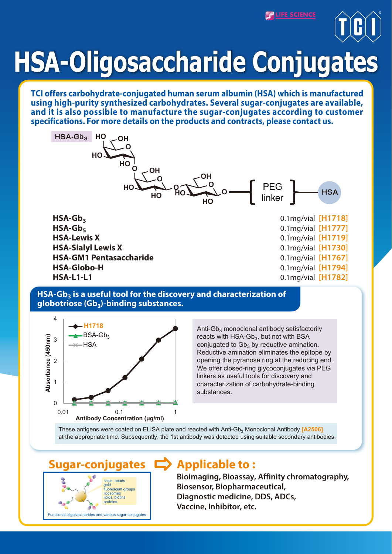**PLIFE SCIENC** 



# **HSA-Oligosaccharide Conjugates**

**TCI offers carbohydrate-conjugated human serum albumin (HSA) which is manufactured using high-purity synthesized carbohydrates. Several sugar-conjugates are available, and it is also possible to manufacture the sugar-conjugates according to customer specifications. For more details on the products and contracts, please contact us.** 



### **HSA-Gb3 is a useful tool for the discovery and characterization of globotriose (Gb3)-binding substances.**



reacts with  $HSA-Gb<sub>3</sub>$ , but not with BSA conjugated to  $Gb<sub>3</sub>$  by reductive amination. Reductive amination eliminates the epitope by opening the pyranose ring at the reducing end. We offer closed-ring glycoconjugates via PEG linkers as useful tools for discovery and characterization of carbohydrate-binding substances.

These antigens were coated on ELISA plate and reacted with Anti-Gb<sub>3</sub> Monoclonal Antibody **[A2506]** at the appropriate time. Subsequently, the 1st antibody was detected using suitable secondary antibodies.



# **Sugar-conjugates Applicable to :**

**Bioimaging, Bioassay, Affinity chromatography, Biosensor, Biopharmaceutical, Diagnostic medicine, DDS, ADCs, Vaccine, Inhibitor, etc.**